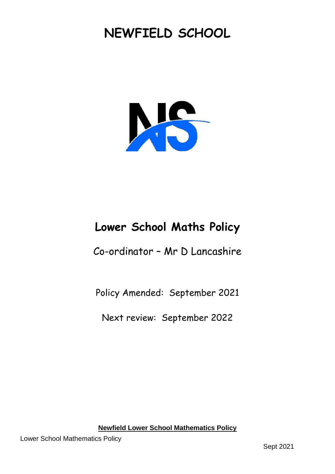# **NEWFIELD SCHOOL**



# **Lower School Maths Policy**

Co-ordinator – Mr D Lancashire

Policy Amended: September 2021

Next review: September 2022

**Newfield Lower School Mathematics Policy**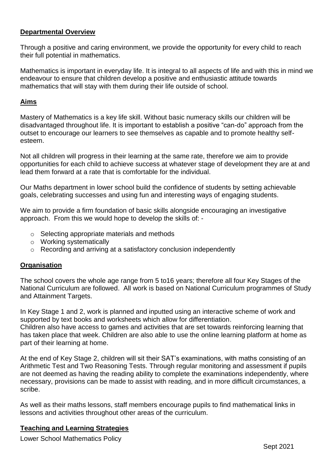# **Departmental Overview**

Through a positive and caring environment, we provide the opportunity for every child to reach their full potential in mathematics.

Mathematics is important in everyday life. It is integral to all aspects of life and with this in mind we endeavour to ensure that children develop a positive and enthusiastic attitude towards mathematics that will stay with them during their life outside of school.

#### **Aims**

Mastery of Mathematics is a key life skill. Without basic numeracy skills our children will be disadvantaged throughout life. It is important to establish a positive "can-do" approach from the outset to encourage our learners to see themselves as capable and to promote healthy selfesteem.

Not all children will progress in their learning at the same rate, therefore we aim to provide opportunities for each child to achieve success at whatever stage of development they are at and lead them forward at a rate that is comfortable for the individual.

Our Maths department in lower school build the confidence of students by setting achievable goals, celebrating successes and using fun and interesting ways of engaging students.

We aim to provide a firm foundation of basic skills alongside encouraging an investigative approach. From this we would hope to develop the skills of: -

- o Selecting appropriate materials and methods
- o Working systematically
- o Recording and arriving at a satisfactory conclusion independently

# **Organisation**

The school covers the whole age range from 5 to16 years; therefore all four Key Stages of the National Curriculum are followed. All work is based on National Curriculum programmes of Study and Attainment Targets.

In Key Stage 1 and 2, work is planned and inputted using an interactive scheme of work and supported by text books and worksheets which allow for differentiation. Children also have access to games and activities that are set towards reinforcing learning that has taken place that week. Children are also able to use the online learning platform at home as part of their learning at home.

At the end of Key Stage 2, children will sit their SAT's examinations, with maths consisting of an Arithmetic Test and Two Reasoning Tests. Through regular monitoring and assessment if pupils are not deemed as having the reading ability to complete the examinations independently, where necessary, provisions can be made to assist with reading, and in more difficult circumstances, a scribe.

As well as their maths lessons, staff members encourage pupils to find mathematical links in lessons and activities throughout other areas of the curriculum.

# **Teaching and Learning Strategies**

Lower School Mathematics Policy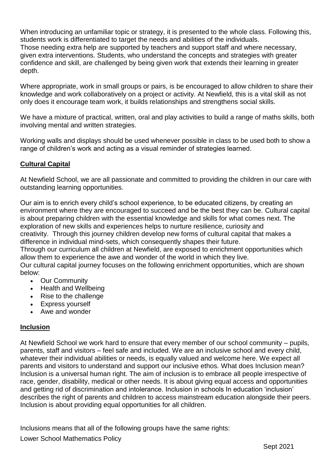When introducing an unfamiliar topic or strategy, it is presented to the whole class. Following this, students work is differentiated to target the needs and abilities of the individuals. Those needing extra help are supported by teachers and support staff and where necessary, given extra interventions. Students, who understand the concepts and strategies with greater confidence and skill, are challenged by being given work that extends their learning in greater depth.

Where appropriate, work in small groups or pairs, is be encouraged to allow children to share their knowledge and work collaboratively on a project or activity. At Newfield, this is a vital skill as not only does it encourage team work, it builds relationships and strengthens social skills.

We have a mixture of practical, written, oral and play activities to build a range of maths skills, both involving mental and written strategies.

Working walls and displays should be used whenever possible in class to be used both to show a range of children's work and acting as a visual reminder of strategies learned.

# **Cultural Capital**

At Newfield School, we are all passionate and committed to providing the children in our care with outstanding learning opportunities.

Our aim is to enrich every child's school experience, to be educated citizens, by creating an environment where they are encouraged to succeed and be the best they can be. Cultural capital is about preparing children with the essential knowledge and skills for what comes next. The exploration of new skills and experiences helps to nurture resilience, curiosity and creativity. Through this journey children develop new forms of cultural capital that makes a difference in individual mind-sets, which consequently shapes their future. Through our curriculum all children at Newfield, are exposed to enrichment opportunities which

allow them to experience the awe and wonder of the world in which they live.

Our cultural capital journey focuses on the following enrichment opportunities, which are shown below:

- Our Community
- Health and Wellbeing
- Rise to the challenge
- Express yourself
- Awe and wonder

# **Inclusion**

At Newfield School we work hard to ensure that every member of our school community – pupils, parents, staff and visitors – feel safe and included. We are an inclusive school and every child, whatever their individual abilities or needs, is equally valued and welcome here. We expect all parents and visitors to understand and support our inclusive ethos. What does Inclusion mean? Inclusion is a universal human right. The aim of inclusion is to embrace all people irrespective of race, gender, disability, medical or other needs. It is about giving equal access and opportunities and getting rid of discrimination and intolerance. Inclusion in schools In education 'inclusion' describes the right of parents and children to access mainstream education alongside their peers. Inclusion is about providing equal opportunities for all children.

Inclusions means that all of the following groups have the same rights:

Lower School Mathematics Policy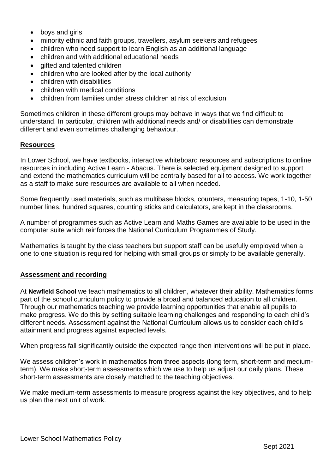- boys and girls
- minority ethnic and faith groups, travellers, asylum seekers and refugees
- children who need support to learn English as an additional language
- children and with additional educational needs
- gifted and talented children
- children who are looked after by the local authority
- children with disabilities
- children with medical conditions
- children from families under stress children at risk of exclusion

Sometimes children in these different groups may behave in ways that we find difficult to understand. In particular, children with additional needs and/ or disabilities can demonstrate different and even sometimes challenging behaviour.

#### **Resources**

In Lower School, we have textbooks, interactive whiteboard resources and subscriptions to online resources in including Active Learn - Abacus. There is selected equipment designed to support and extend the mathematics curriculum will be centrally based for all to access. We work together as a staff to make sure resources are available to all when needed.

Some frequently used materials, such as multibase blocks, counters, measuring tapes, 1-10, 1-50 number lines, hundred squares, counting sticks and calculators, are kept in the classrooms.

A number of programmes such as Active Learn and Maths Games are available to be used in the computer suite which reinforces the National Curriculum Programmes of Study.

Mathematics is taught by the class teachers but support staff can be usefully employed when a one to one situation is required for helping with small groups or simply to be available generally.

# **Assessment and recording**

At **Newfield School** we teach mathematics to all children, whatever their ability. Mathematics forms part of the school curriculum policy to provide a broad and balanced education to all children. Through our mathematics teaching we provide learning opportunities that enable all pupils to make progress. We do this by setting suitable learning challenges and responding to each child's different needs. Assessment against the National Curriculum allows us to consider each child's attainment and progress against expected levels.

When progress fall significantly outside the expected range then interventions will be put in place.

We assess children's work in mathematics from three aspects (long term, short-term and mediumterm). We make short-term assessments which we use to help us adjust our daily plans. These short-term assessments are closely matched to the teaching objectives.

We make medium-term assessments to measure progress against the key objectives, and to help us plan the next unit of work.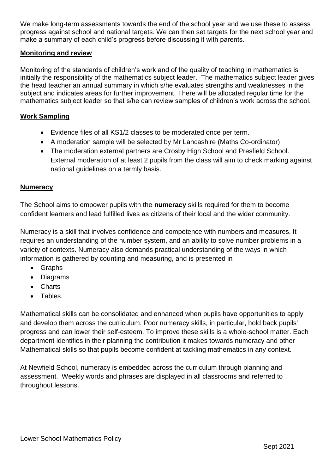We make long-term assessments towards the end of the school year and we use these to assess progress against school and national targets. We can then set targets for the next school year and make a summary of each child's progress before discussing it with parents.

# **Monitoring and review**

Monitoring of the standards of children's work and of the quality of teaching in mathematics is initially the responsibility of the mathematics subject leader. The mathematics subject leader gives the head teacher an annual summary in which s/he evaluates strengths and weaknesses in the subject and indicates areas for further improvement. There will be allocated regular time for the mathematics subject leader so that s/he can review samples of children's work across the school.

# **Work Sampling**

- Evidence files of all KS1/2 classes to be moderated once per term.
- A moderation sample will be selected by Mr Lancashire (Maths Co-ordinator)
- The moderation external partners are Crosby High School and Presfield School. External moderation of at least 2 pupils from the class will aim to check marking against national guidelines on a termly basis.

# **Numeracy**

The School aims to empower pupils with the **numeracy** skills required for them to become confident learners and lead fulfilled lives as citizens of their local and the wider community.

Numeracy is a skill that involves confidence and competence with numbers and measures. It requires an understanding of the number system, and an ability to solve number problems in a variety of contexts. Numeracy also demands practical understanding of the ways in which information is gathered by counting and measuring, and is presented in

- Graphs
- Diagrams
- Charts
- Tables.

Mathematical skills can be consolidated and enhanced when pupils have opportunities to apply and develop them across the curriculum. Poor numeracy skills, in particular, hold back pupils' progress and can lower their self-esteem. To improve these skills is a whole-school matter. Each department identifies in their planning the contribution it makes towards numeracy and other Mathematical skills so that pupils become confident at tackling mathematics in any context.

At Newfield School, numeracy is embedded across the curriculum through planning and assessment. Weekly words and phrases are displayed in all classrooms and referred to throughout lessons.